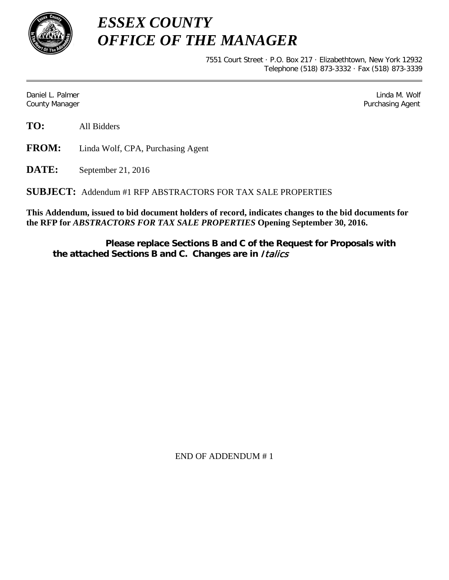

*ESSEX COUNTY OFFICE OF THE MANAGER*

> 7551 Court Street · P.O. Box 217 · Elizabethtown, New York 12932 Telephone (518) 873-3332 · Fax (518) 873-3339

Daniel L. Palmer Linda M. Wolf County Manager **Purchasing Agent** County Manager **Purchasing Agent** County Manager

**TO:** All Bidders

**FROM:** Linda Wolf, CPA, Purchasing Agent

**DATE:** September 21, 2016

**SUBJECT:** Addendum #1 RFP ABSTRACTORS FOR TAX SALE PROPERTIES

**This Addendum, issued to bid document holders of record, indicates changes to the bid documents for the RFP for** *ABSTRACTORS FOR TAX SALE PROPERTIES* **Opening September 30, 2016.**

**Please replace Sections B and C of the Request for Proposals with the attached Sections B and C. Changes are in** Italics

END OF ADDENDUM # 1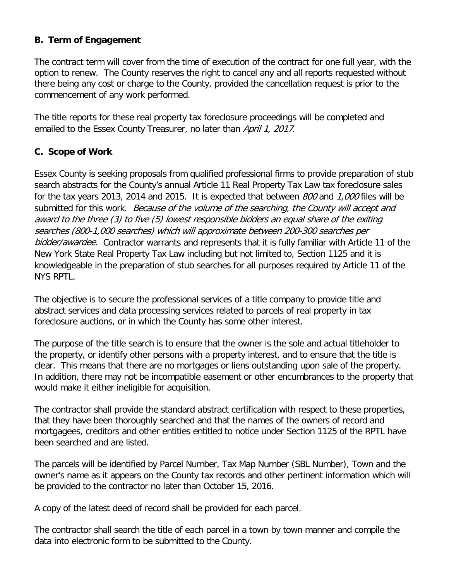## **B. Term of Engagement**

The contract term will cover from the time of execution of the contract for one full year, with the option to renew. The County reserves the right to cancel any and all reports requested without there being any cost or charge to the County, provided the cancellation request is prior to the commencement of any work performed.

The title reports for these real property tax foreclosure proceedings will be completed and emailed to the Essex County Treasurer, no later than April 1, 2017.

## **C. Scope of Work**

Essex County is seeking proposals from qualified professional firms to provide preparation of stub search abstracts for the County's annual Article 11 Real Property Tax Law tax foreclosure sales for the tax years 2013, 2014 and 2015. It is expected that between 800 and 1,000 files will be submitted for this work. Because of the volume of the searching, the County will accept and award to the three (3) to five (5) lowest responsible bidders an equal share of the exiting searches (800-1,000 searches) which will approximate between 200-300 searches per bidder/awardee. Contractor warrants and represents that it is fully familiar with Article 11 of the New York State Real Property Tax Law including but not limited to, Section 1125 and it is knowledgeable in the preparation of stub searches for all purposes required by Article 11 of the NYS RPTL.

The objective is to secure the professional services of a title company to provide title and abstract services and data processing services related to parcels of real property in tax foreclosure auctions, or in which the County has some other interest.

The purpose of the title search is to ensure that the owner is the sole and actual titleholder to the property, or identify other persons with a property interest, and to ensure that the title is clear. This means that there are no mortgages or liens outstanding upon sale of the property. In addition, there may not be incompatible easement or other encumbrances to the property that would make it either ineligible for acquisition.

The contractor shall provide the standard abstract certification with respect to these properties, that they have been thoroughly searched and that the names of the owners of record and mortgagees, creditors and other entities entitled to notice under Section 1125 of the RPTL have been searched and are listed.

The parcels will be identified by Parcel Number, Tax Map Number (SBL Number), Town and the owner's name as it appears on the County tax records and other pertinent information which will be provided to the contractor no later than October 15, 2016.

A copy of the latest deed of record shall be provided for each parcel.

The contractor shall search the title of each parcel in a town by town manner and compile the data into electronic form to be submitted to the County.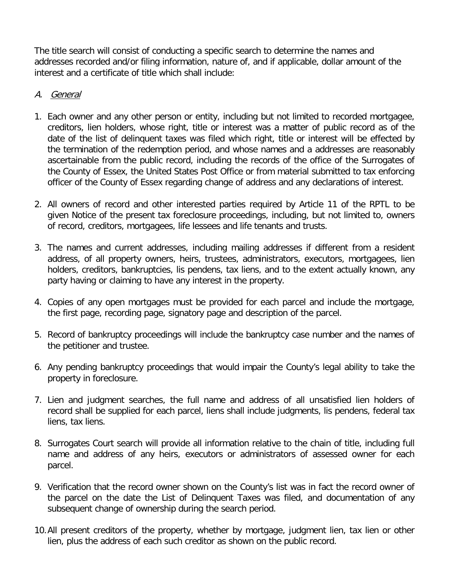The title search will consist of conducting a specific search to determine the names and addresses recorded and/or filing information, nature of, and if applicable, dollar amount of the interest and a certificate of title which shall include:

## A. General

- 1. Each owner and any other person or entity, including but not limited to recorded mortgagee, creditors, lien holders, whose right, title or interest was a matter of public record as of the date of the list of delinquent taxes was filed which right, title or interest will be effected by the termination of the redemption period, and whose names and a addresses are reasonably ascertainable from the public record, including the records of the office of the Surrogates of the County of Essex, the United States Post Office or from material submitted to tax enforcing officer of the County of Essex regarding change of address and any declarations of interest.
- 2. All owners of record and other interested parties required by Article 11 of the RPTL to be given Notice of the present tax foreclosure proceedings, including, but not limited to, owners of record, creditors, mortgagees, life lessees and life tenants and trusts.
- 3. The names and current addresses, including mailing addresses if different from a resident address, of all property owners, heirs, trustees, administrators, executors, mortgagees, lien holders, creditors, bankruptcies, lis pendens, tax liens, and to the extent actually known, any party having or claiming to have any interest in the property.
- 4. Copies of any open mortgages must be provided for each parcel and include the mortgage, the first page, recording page, signatory page and description of the parcel.
- 5. Record of bankruptcy proceedings will include the bankruptcy case number and the names of the petitioner and trustee.
- 6. Any pending bankruptcy proceedings that would impair the County's legal ability to take the property in foreclosure.
- 7. Lien and judgment searches, the full name and address of all unsatisfied lien holders of record shall be supplied for each parcel, liens shall include judgments, lis pendens, federal tax liens, tax liens.
- 8. Surrogates Court search will provide all information relative to the chain of title, including full name and address of any heirs, executors or administrators of assessed owner for each parcel.
- 9. Verification that the record owner shown on the County's list was in fact the record owner of the parcel on the date the List of Delinquent Taxes was filed, and documentation of any subsequent change of ownership during the search period.
- 10.All present creditors of the property, whether by mortgage, judgment lien, tax lien or other lien, plus the address of each such creditor as shown on the public record.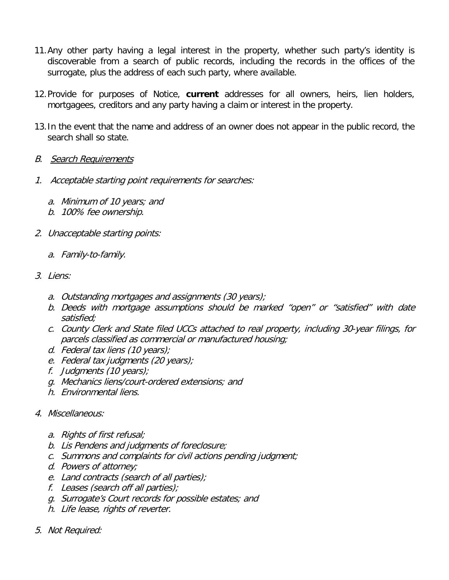- 11.Any other party having a legal interest in the property, whether such party's identity is discoverable from a search of public records, including the records in the offices of the surrogate, plus the address of each such party, where available.
- 12.Provide for purposes of Notice, **current** addresses for all owners, heirs, lien holders, mortgagees, creditors and any party having a claim or interest in the property.
- 13.In the event that the name and address of an owner does not appear in the public record, the search shall so state.
- B. Search Requirements
- 1. Acceptable starting point requirements for searches:
	- a. Minimum of 10 years; and
	- b. 100% fee ownership.
- 2. Unacceptable starting points:
	- a. Family-to-family.
- 3. Liens:
	- a. Outstanding mortgages and assignments (30 years);
	- b. Deeds with mortgage assumptions should be marked "open" or "satisfied" with date satisfied;
	- c. County Clerk and State filed UCCs attached to real property, including 30-year filings, for parcels classified as commercial or manufactured housing;
	- d. Federal tax liens (10 years);
	- e. Federal tax judgments (20 years);
	- f. Judgments (10 years);
	- g. Mechanics liens/court-ordered extensions; and
	- h. Environmental liens.
- 4. Miscellaneous:
	- a. Rights of first refusal;
	- b. Lis Pendens and judgments of foreclosure;
	- c. Summons and complaints for civil actions pending judgment;
	- d. Powers of attorney;
	- e. Land contracts (search of all parties);
	- f. Leases (search off all parties);
	- g. Surrogate's Court records for possible estates; and
	- h. Life lease, rights of reverter.
- 5. Not Required: